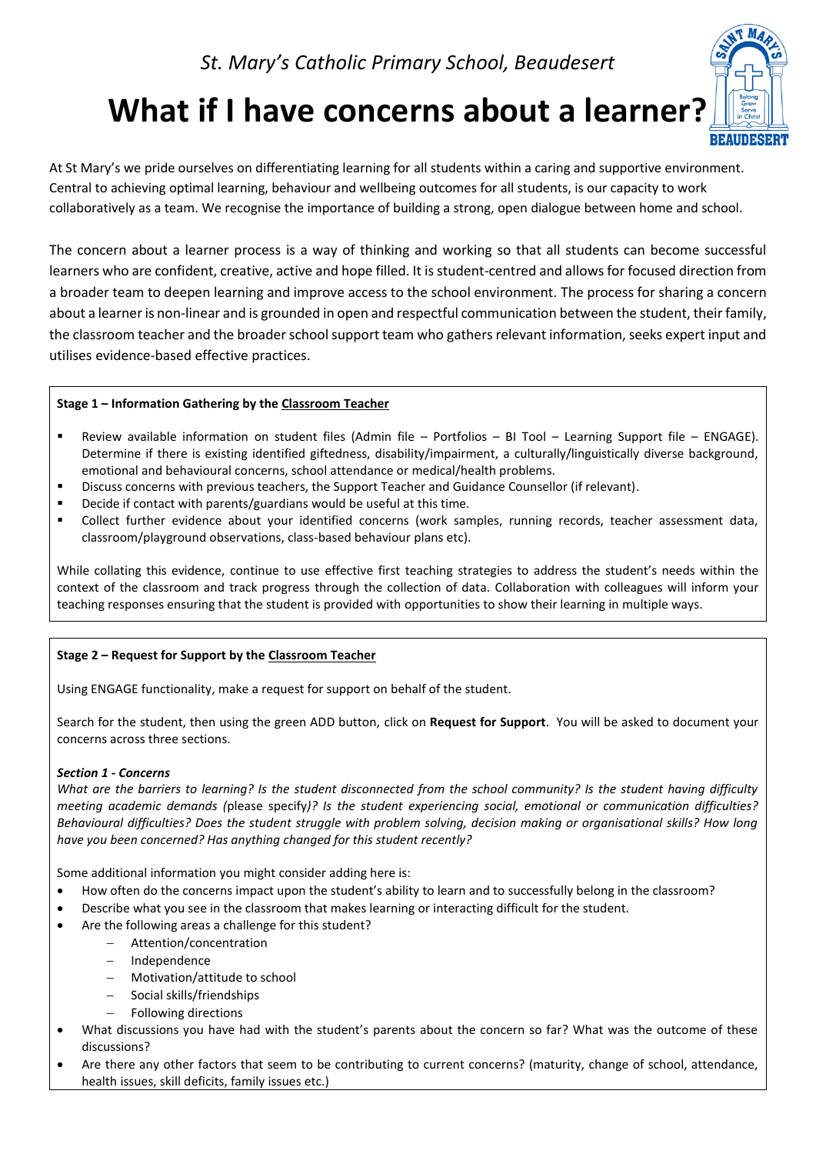# **What if I have concerns about a learner?**



At St Mary's we pride ourselves on differentiating learning for all students within a caring and supportive environment. Central to achieving optimal learning, behaviour and wellbeing outcomes for all students, is our capacity to work collaboratively as a team. We recognise the importance of building a strong, open dialogue between home and school.

The concern about a learner process is a way of thinking and working so that all students can become successful learners who are confident, creative, active and hope filled. It is student-centred and allows for focused direction from a broader team to deepen learning and improve access to the school environment. The process for sharing a concern about a learner is non-linear and is grounded in open and respectful communication between the student, their family, the classroom teacher and the broader school support team who gathers relevant information, seeks expert input and utilises evidence-based effective practices.

## **Stage 1 – Information Gathering by the Classroom Teacher**

- Review available information on student files (Admin file Portfolios BI Tool Learning Support file ENGAGE). Determine if there is existing identified giftedness, disability/impairment, a culturally/linguistically diverse background, emotional and behavioural concerns, school attendance or medical/health problems.
- Discuss concerns with previous teachers, the Support Teacher and Guidance Counsellor (if relevant).
- Decide if contact with parents/guardians would be useful at this time.
- Collect further evidence about your identified concerns (work samples, running records, teacher assessment data, classroom/playground observations, class-based behaviour plans etc).

While collating this evidence, continue to use effective first teaching strategies to address the student's needs within the context of the classroom and track progress through the collection of data. Collaboration with colleagues will inform your teaching responses ensuring that the student is provided with opportunities to show their learning in multiple ways.

## **Stage 2 – Request for Support by the Classroom Teacher**

Using ENGAGE functionality, make a request for support on behalf of the student.

Search for the student, then using the green ADD button, click on **Request for Support**. You will be asked to document your concerns across three sections.

## *Section 1 - Concerns*

*What are the barriers to learning? Is the student disconnected from the school community? Is the student having difficulty meeting academic demands (*please specify*)? Is the student experiencing social, emotional or communication difficulties? Behavioural difficulties? Does the student struggle with problem solving, decision making or organisational skills? How long have you been concerned? Has anything changed for this student recently?*

Some additional information you might consider adding here is:

- How often do the concerns impact upon the student's ability to learn and to successfully belong in the classroom?
- Describe what you see in the classroom that makes learning or interacting difficult for the student.
- Are the following areas a challenge for this student?
	- − Attention/concentration
	- − Independence
	- − Motivation/attitude to school
	- − Social skills/friendships
	- − Following directions
- What discussions you have had with the student's parents about the concern so far? What was the outcome of these discussions?
- Are there any other factors that seem to be contributing to current concerns? (maturity, change of school, attendance, health issues, skill deficits, family issues etc.)